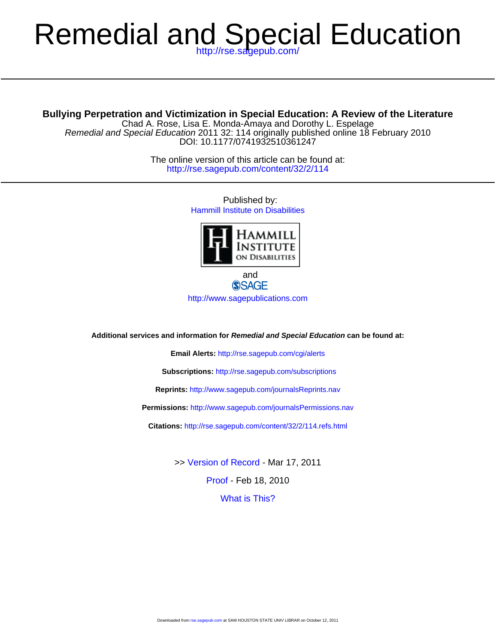# Remedial and Special Education

## **Bullying Perpetration and Victimization in Special Education: A Review of the Literature**

DOI: 10.1177/0741932510361247 Remedial and Special Education 2011 32: 114 originally published online 18 February 2010 Chad A. Rose, Lisa E. Monda-Amaya and Dorothy L. Espelage

> <http://rse.sagepub.com/content/32/2/114> The online version of this article can be found at:

> > Published by: [Hammill Institute on Disabilities](http://www.hammill-institute.org/)



and **SSAGE** <http://www.sagepublications.com>

**Additional services and information for Remedial and Special Education can be found at:**

**Email Alerts:** <http://rse.sagepub.com/cgi/alerts>

**Subscriptions:** <http://rse.sagepub.com/subscriptions>

**Reprints:** <http://www.sagepub.com/journalsReprints.nav>

**Permissions:** <http://www.sagepub.com/journalsPermissions.nav>

**Citations:** <http://rse.sagepub.com/content/32/2/114.refs.html>

>> [Version of Record -](http://rse.sagepub.com/content/32/2/114.full.pdf) Mar 17, 2011

[Proof -](http://rse.sagepub.com/content/early/2010/02/18/0741932510361247.full.pdf) Feb 18, 2010

[What is This?](http://online.sagepub.com/site/sphelp/vorhelp.xhtml)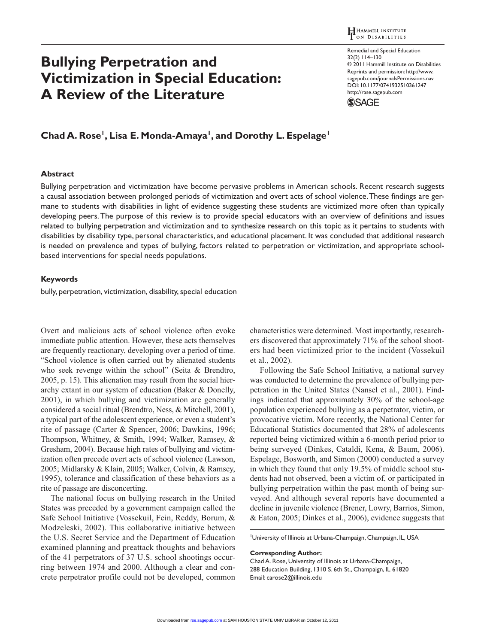## **Bullying Perpetration and Victimization in Special Education: A Review of the Literature**

Remedial and Special Education 32(2) 114–130 © 2011 Hammill Institute on Disabilities Reprints and permission: http://www. sagepub.com/journalsPermissions.nav DOI: 10.1177/0741932510361247 http://rase.sagepub.com



## **Chad A. Rose1 , Lisa E. Monda-Amaya1 , and Dorothy L. Espelage1**

#### **Abstract**

Bullying perpetration and victimization have become pervasive problems in American schools. Recent research suggests a causal association between prolonged periods of victimization and overt acts of school violence. These findings are germane to students with disabilities in light of evidence suggesting these students are victimized more often than typically developing peers. The purpose of this review is to provide special educators with an overview of definitions and issues related to bullying perpetration and victimization and to synthesize research on this topic as it pertains to students with disabilities by disability type, personal characteristics, and educational placement. It was concluded that additional research is needed on prevalence and types of bullying, factors related to perpetration or victimization, and appropriate schoolbased interventions for special needs populations.

#### **Keywords**

bully, perpetration, victimization, disability, special education

Overt and malicious acts of school violence often evoke immediate public attention. However, these acts themselves are frequently reactionary, developing over a period of time. "School violence is often carried out by alienated students who seek revenge within the school" (Seita & Brendtro, 2005, p. 15). This alienation may result from the social hierarchy extant in our system of education (Baker & Donelly, 2001), in which bullying and victimization are generally considered a social ritual (Brendtro, Ness, & Mitchell, 2001), a typical part of the adolescent experience, or even a student's rite of passage (Carter & Spencer, 2006; Dawkins, 1996; Thompson, Whitney, & Smith, 1994; Walker, Ramsey, & Gresham, 2004). Because high rates of bullying and victimization often precede overt acts of school violence (Lawson, 2005; Midlarsky & Klain, 2005; Walker, Colvin, & Ramsey, 1995), tolerance and classification of these behaviors as a rite of passage are disconcerting.

The national focus on bullying research in the United States was preceded by a government campaign called the Safe School Initiative (Vossekuil, Fein, Reddy, Borum, & Modzeleski, 2002). This collaborative initiative between the U.S. Secret Service and the Department of Education examined planning and preattack thoughts and behaviors of the 41 perpetrators of 37 U.S. school shootings occurring between 1974 and 2000. Although a clear and concrete perpetrator profile could not be developed, common characteristics were determined. Most importantly, researchers discovered that approximately 71% of the school shooters had been victimized prior to the incident (Vossekuil et al., 2002).

Following the Safe School Initiative*,* a national survey was conducted to determine the prevalence of bullying perpetration in the United States (Nansel et al., 2001). Findings indicated that approximately 30% of the school-age population experienced bullying as a perpetrator, victim, or provocative victim. More recently, the National Center for Educational Statistics documented that 28% of adolescents reported being victimized within a 6-month period prior to being surveyed (Dinkes, Cataldi, Kena, & Baum, 2006). Espelage, Bosworth, and Simon (2000) conducted a survey in which they found that only 19.5% of middle school students had not observed, been a victim of, or participated in bullying perpetration within the past month of being surveyed. And although several reports have documented a decline in juvenile violence (Brener, Lowry, Barrios, Simon, & Eaton, 2005; Dinkes et al., 2006), evidence suggests that

<sup>1</sup>University of Illinois at Urbana-Champaign, Champaign, IL, USA

#### **Corresponding Author:**

Chad A. Rose, University of Illinois at Urbana-Champaign, 288 Education Building, 1310 S. 6th St., Champaign, IL 61820 Email: carose2@illinois.edu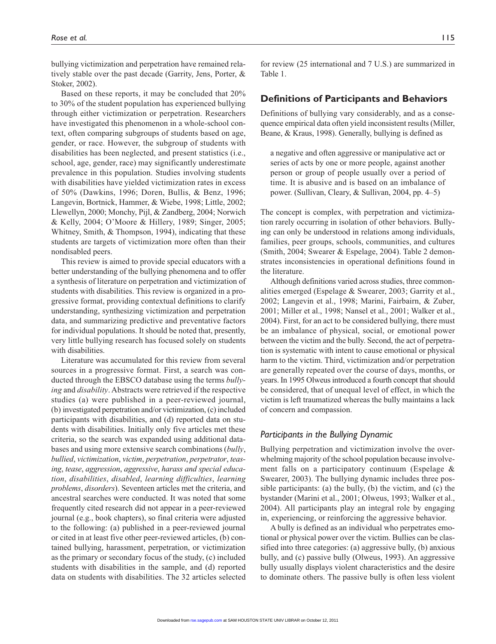bullying victimization and perpetration have remained relatively stable over the past decade (Garrity, Jens, Porter, & Stoker, 2002).

Based on these reports, it may be concluded that 20% to 30% of the student population has experienced bullying through either victimization or perpetration. Researchers have investigated this phenomenon in a whole-school context, often comparing subgroups of students based on age, gender, or race. However, the subgroup of students with disabilities has been neglected, and present statistics (i.e., school, age, gender, race) may significantly underestimate prevalence in this population. Studies involving students with disabilities have yielded victimization rates in excess of 50% (Dawkins, 1996; Doren, Bullis, & Benz, 1996; Langevin, Bortnick, Hammer, & Wiebe, 1998; Little, 2002; Llewellyn, 2000; Monchy, Pijl, & Zandberg, 2004; Norwich & Kelly, 2004; O'Moore & Hillery, 1989; Singer, 2005; Whitney, Smith, & Thompson, 1994), indicating that these students are targets of victimization more often than their nondisabled peers.

This review is aimed to provide special educators with a better understanding of the bullying phenomena and to offer a synthesis of literature on perpetration and victimization of students with disabilities. This review is organized in a progressive format, providing contextual definitions to clarify understanding, synthesizing victimization and perpetration data, and summarizing predictive and preventative factors for individual populations. It should be noted that, presently, very little bullying research has focused solely on students with disabilities.

Literature was accumulated for this review from several sources in a progressive format. First, a search was conducted through the EBSCO database using the terms *bullying* and *disability*. Abstracts were retrieved if the respective studies (a) were published in a peer-reviewed journal, (b) investigated perpetration and/or victimization, (c) included participants with disabilities, and (d) reported data on students with disabilities. Initially only five articles met these criteria, so the search was expanded using additional databases and using more extensive search combinations (*bully*, *bullied*, *victimization*, *victim*, *perpetration*, *perpetrator*, *teasing*, *tease*, *aggression*, *aggressive*, *harass and special education*, *disabilities*, *disabled*, *learning difficulties*, *learning problems*, *disorders*). Seventeen articles met the criteria, and ancestral searches were conducted. It was noted that some frequently cited research did not appear in a peer-reviewed journal (e.g., book chapters), so final criteria were adjusted to the following: (a) published in a peer-reviewed journal or cited in at least five other peer-reviewed articles, (b) contained bullying, harassment, perpetration, or victimization as the primary or secondary focus of the study, (c) included students with disabilities in the sample, and (d) reported data on students with disabilities. The 32 articles selected

for review (25 international and 7 U.S.) are summarized in Table 1.

### **Definitions of Participants and Behaviors**

Definitions of bullying vary considerably, and as a consequence empirical data often yield inconsistent results (Miller, Beane, & Kraus, 1998). Generally, bullying is defined as

a negative and often aggressive or manipulative act or series of acts by one or more people, against another person or group of people usually over a period of time. It is abusive and is based on an imbalance of power. (Sullivan, Cleary, & Sullivan, 2004, pp. 4–5)

The concept is complex, with perpetration and victimization rarely occurring in isolation of other behaviors. Bullying can only be understood in relations among individuals, families, peer groups, schools, communities, and cultures (Smith, 2004; Swearer & Espelage, 2004). Table 2 demonstrates inconsistencies in operational definitions found in the literature.

Although definitions varied across studies, three commonalities emerged (Espelage & Swearer, 2003; Garrity et al., 2002; Langevin et al., 1998; Marini, Fairbairn, & Zuber, 2001; Miller et al., 1998; Nansel et al., 2001; Walker et al., 2004). First, for an act to be considered bullying, there must be an imbalance of physical, social, or emotional power between the victim and the bully. Second, the act of perpetration is systematic with intent to cause emotional or physical harm to the victim. Third, victimization and/or perpetration are generally repeated over the course of days, months, or years. In 1995 Olweus introduced a fourth concept that should be considered, that of unequal level of effect, in which the victim is left traumatized whereas the bully maintains a lack of concern and compassion.

## *Participants in the Bullying Dynamic*

Bullying perpetration and victimization involve the overwhelming majority of the school population because involvement falls on a participatory continuum (Espelage & Swearer, 2003). The bullying dynamic includes three possible participants: (a) the bully, (b) the victim, and (c) the bystander (Marini et al., 2001; Olweus, 1993; Walker et al., 2004). All participants play an integral role by engaging in, experiencing, or reinforcing the aggressive behavior.

A bully is defined as an individual who perpetrates emotional or physical power over the victim. Bullies can be classified into three categories: (a) aggressive bully, (b) anxious bully, and (c) passive bully (Olweus, 1993). An aggressive bully usually displays violent characteristics and the desire to dominate others. The passive bully is often less violent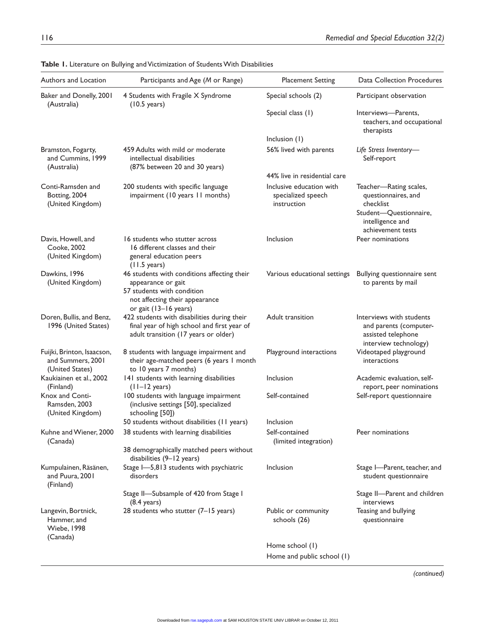| Authors and Location                                               | Participants and Age (M or Range)                                                                                                                          | <b>Placement Setting</b>                                      | <b>Data Collection Procedures</b>                                                                                             |
|--------------------------------------------------------------------|------------------------------------------------------------------------------------------------------------------------------------------------------------|---------------------------------------------------------------|-------------------------------------------------------------------------------------------------------------------------------|
| Baker and Donelly, 2001<br>(Australia)                             | 4 Students with Fragile X Syndrome<br>$(10.5 \text{ years})$                                                                                               | Special schools (2)                                           | Participant observation                                                                                                       |
|                                                                    |                                                                                                                                                            | Special class (1)                                             | Interviews-Parents,<br>teachers, and occupational<br>therapists                                                               |
|                                                                    |                                                                                                                                                            | Inclusion $(1)$                                               |                                                                                                                               |
| Bramston, Fogarty,<br>and Cummins, 1999<br>(Australia)             | 459 Adults with mild or moderate<br>intellectual disabilities<br>(87% between 20 and 30 years)                                                             | 56% lived with parents                                        | Life Stress Inventory-<br>Self-report                                                                                         |
|                                                                    |                                                                                                                                                            | 44% live in residential care                                  |                                                                                                                               |
| Conti-Ramsden and<br>Botting, 2004<br>(United Kingdom)             | 200 students with specific language<br>impairment (10 years 11 months)                                                                                     | Inclusive education with<br>specialized speech<br>instruction | Teacher-Rating scales,<br>questionnaires, and<br>checklist<br>Student-Questionnaire,<br>intelligence and<br>achievement tests |
| Davis, Howell, and<br>Cooke, 2002<br>(United Kingdom)              | 16 students who stutter across<br>16 different classes and their<br>general education peers<br>$(11.5 \text{ years})$                                      | Inclusion                                                     | Peer nominations                                                                                                              |
| Dawkins, 1996<br>(United Kingdom)                                  | 46 students with conditions affecting their<br>appearance or gait<br>57 students with condition<br>not affecting their appearance<br>or gait (13-16 years) | Various educational settings                                  | Bullying questionnaire sent<br>to parents by mail                                                                             |
| Doren, Bullis, and Benz,<br>1996 (United States)                   | 422 students with disabilities during their<br>final year of high school and first year of<br>adult transition (17 years or older)                         | Adult transition                                              | Interviews with students<br>and parents (computer-<br>assisted telephone<br>interview technology)                             |
| Fuijki, Brinton, Isaacson,<br>and Summers, 2001<br>(United States) | 8 students with language impairment and<br>their age-matched peers (6 years 1 month<br>to 10 years 7 months)                                               | Playground interactions                                       | Videotaped playground<br>interactions                                                                                         |
| Kaukiainen et al., 2002<br>(Finland)                               | 141 students with learning disabilities<br>$(11-12 \text{ years})$                                                                                         | Inclusion                                                     | Academic evaluation, self-<br>report, peer nominations                                                                        |
| Knox and Conti-<br>Ramsden, 2003<br>(United Kingdom)               | 100 students with language impairment<br>(inclusive settings [50], specialized<br>schooling [50])                                                          | Self-contained                                                | Self-report questionnaire                                                                                                     |
|                                                                    | 50 students without disabilities (11 years)                                                                                                                | Inclusion                                                     |                                                                                                                               |
| Kuhne and Wiener, 2000<br>(Canada)                                 | 38 students with learning disabilities<br>38 demographically matched peers without                                                                         | Self-contained<br>(limited integration)                       | Peer nominations                                                                                                              |
| Kumpulainen, Räsänen,<br>and Puura, 2001<br>(Finland)              | disabilities (9-12 years)<br>Stage I-5,813 students with psychiatric<br>disorders                                                                          | Inclusion                                                     | Stage I-Parent, teacher, and<br>student questionnaire                                                                         |
|                                                                    | Stage II-Subsample of 420 from Stage I<br>$(8.4 \text{ years})$                                                                                            |                                                               | Stage II-Parent and children<br>interviews                                                                                    |
| Langevin, Bortnick,<br>Hammer, and<br>Wiebe, 1998<br>(Canada)      | 28 students who stutter (7-15 years)                                                                                                                       | Public or community<br>schools (26)                           | Teasing and bullying<br>questionnaire                                                                                         |
|                                                                    |                                                                                                                                                            | Home school (1)                                               |                                                                                                                               |
|                                                                    |                                                                                                                                                            | Home and public school (1)                                    |                                                                                                                               |

**Table 1.** Literature on Bullying and Victimization of Students With Disabilities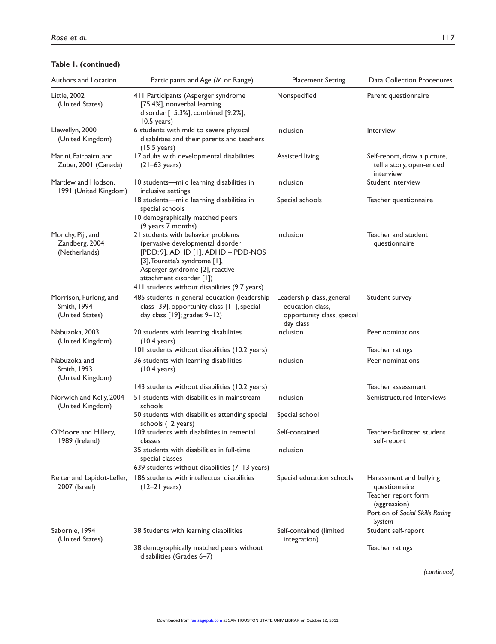## **Table 1. (continued)**

| Authors and Location                                     | Participants and Age (M or Range)                                                                                                                                                                                                                              | <b>Placement Setting</b>                                                                 | <b>Data Collection Procedures</b>                                                                                            |
|----------------------------------------------------------|----------------------------------------------------------------------------------------------------------------------------------------------------------------------------------------------------------------------------------------------------------------|------------------------------------------------------------------------------------------|------------------------------------------------------------------------------------------------------------------------------|
| <b>Little, 2002</b><br>(United States)                   | 411 Participants (Asperger syndrome<br>[75.4%], nonverbal learning<br>disorder [15.3%], combined [9.2%];<br>10.5 years)                                                                                                                                        | Nonspecified                                                                             | Parent questionnaire                                                                                                         |
| Llewellyn, 2000<br>(United Kingdom)                      | 6 students with mild to severe physical<br>disabilities and their parents and teachers<br>$(15.5 \text{ years})$                                                                                                                                               | Inclusion                                                                                | Interview                                                                                                                    |
| Marini, Fairbairn, and<br>Zuber, 2001 (Canada)           | 17 adults with developmental disabilities<br>$(21-63 \text{ years})$                                                                                                                                                                                           | Assisted living                                                                          | Self-report, draw a picture,<br>tell a story, open-ended<br>interview                                                        |
| Martlew and Hodson,                                      | 10 students-mild learning disabilities in                                                                                                                                                                                                                      | Inclusion                                                                                | Student interview                                                                                                            |
| 1991 (United Kingdom)                                    | inclusive settings<br>18 students-mild learning disabilities in<br>special schools<br>10 demographically matched peers                                                                                                                                         | Special schools                                                                          | Teacher questionnaire                                                                                                        |
|                                                          | (9 years 7 months)                                                                                                                                                                                                                                             |                                                                                          |                                                                                                                              |
| Monchy, Pijl, and<br>Zandberg, 2004<br>(Netherlands)     | 21 students with behavior problems<br>(pervasive developmental disorder<br>[PDD; 9], ADHD [I], ADHD + PDD-NOS<br>[3], Tourette's syndrome [1],<br>Asperger syndrome [2], reactive<br>attachment disorder [1])<br>411 students without disabilities (9.7 years) | Inclusion                                                                                | Teacher and student<br>questionnaire                                                                                         |
| Morrison, Furlong, and<br>Smith, 1994<br>(United States) | 485 students in general education (leadership<br>class [39], opportunity class [11], special<br>day class [19]; grades 9-12)                                                                                                                                   | Leadership class, general<br>education class,<br>opportunity class, special<br>day class | Student survey                                                                                                               |
| Nabuzoka, 2003<br>(United Kingdom)                       | 20 students with learning disabilities<br>$(10.4 \text{ years})$                                                                                                                                                                                               | Inclusion                                                                                | Peer nominations                                                                                                             |
|                                                          | 101 students without disabilities (10.2 years)                                                                                                                                                                                                                 |                                                                                          | Teacher ratings                                                                                                              |
| Nabuzoka and<br>Smith, 1993<br>(United Kingdom)          | 36 students with learning disabilities<br>$(10.4 \text{ years})$                                                                                                                                                                                               | Inclusion                                                                                | Peer nominations                                                                                                             |
|                                                          | 143 students without disabilities (10.2 years)                                                                                                                                                                                                                 |                                                                                          | Teacher assessment                                                                                                           |
| Norwich and Kelly, 2004<br>(United Kingdom)              | 51 students with disabilities in mainstream<br>schools                                                                                                                                                                                                         | Inclusion                                                                                | Semistructured Interviews                                                                                                    |
|                                                          | 50 students with disabilities attending special<br>schools (12 years)                                                                                                                                                                                          | Special school                                                                           |                                                                                                                              |
| O'Moore and Hillery,<br>1989 (Ireland)                   | 109 students with disabilities in remedial<br>classes                                                                                                                                                                                                          | Self-contained                                                                           | Teacher-facilitated student<br>self-report                                                                                   |
|                                                          | 35 students with disabilities in full-time<br>special classes                                                                                                                                                                                                  | Inclusion                                                                                |                                                                                                                              |
|                                                          | 639 students without disabilities (7-13 years)                                                                                                                                                                                                                 |                                                                                          |                                                                                                                              |
| Reiter and Lapidot-Lefler,<br>2007 (Israel)              | 186 students with intellectual disabilities<br>$(12-21 \text{ years})$                                                                                                                                                                                         | Special education schools                                                                | Harassment and bullying<br>questionnaire<br>Teacher report form<br>(aggression)<br>Portion of Social Skills Rating<br>System |
| Sabornie, 1994<br>(United States)                        | 38 Students with learning disabilities                                                                                                                                                                                                                         | Self-contained (limited<br>integration)                                                  | Student self-report                                                                                                          |
|                                                          | 38 demographically matched peers without<br>disabilities (Grades 6-7)                                                                                                                                                                                          |                                                                                          | Teacher ratings                                                                                                              |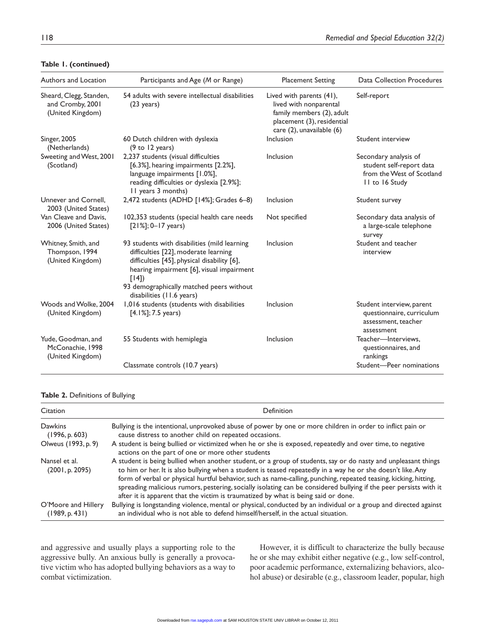| Authors and Location                                            | Participants and Age (M or Range)                                                                                                                                                                                                                                 | <b>Placement Setting</b>                                                                                                                   | Data Collection Procedures                                                                       |
|-----------------------------------------------------------------|-------------------------------------------------------------------------------------------------------------------------------------------------------------------------------------------------------------------------------------------------------------------|--------------------------------------------------------------------------------------------------------------------------------------------|--------------------------------------------------------------------------------------------------|
| Sheard, Clegg, Standen,<br>and Cromby, 2001<br>(United Kingdom) | 54 adults with severe intellectual disabilities<br>$(23 \text{ years})$                                                                                                                                                                                           | Lived with parents (41),<br>lived with nonparental<br>family members (2), adult<br>placement (3), residential<br>care (2), unavailable (6) | Self-report                                                                                      |
| <b>Singer, 2005</b><br>(Netherlands)                            | 60 Dutch children with dyslexia<br>$(9 \text{ to } 12 \text{ years})$                                                                                                                                                                                             | Inclusion                                                                                                                                  | Student interview                                                                                |
| Sweeting and West, 2001<br>(Scotland)                           | 2,237 students (visual difficulties<br>[6.3%], hearing impairments [2.2%],<br>language impairments [1.0%],<br>reading difficulties or dyslexia [2.9%];<br>II years 3 months)                                                                                      | Inclusion                                                                                                                                  | Secondary analysis of<br>student self-report data<br>from the West of Scotland<br>II to 16 Study |
| Unnever and Cornell.<br>2003 (United States)                    | 2,472 students (ADHD [14%]; Grades 6-8)                                                                                                                                                                                                                           | Inclusion                                                                                                                                  | Student survey                                                                                   |
| Van Cleave and Davis.<br>2006 (United States)                   | 102,353 students (special health care needs<br>$[21\%]; 0 - 17 \text{ years}$                                                                                                                                                                                     | Not specified                                                                                                                              | Secondary data analysis of<br>a large-scale telephone<br>survey                                  |
| Whitney, Smith, and<br>Thompson, 1994<br>(United Kingdom)       | 93 students with disabilities (mild learning<br>difficulties [22], moderate learning<br>difficulties [45], physical disability [6],<br>hearing impairment [6], visual impairment<br>[14]<br>93 demographically matched peers without<br>disabilities (11.6 years) | Inclusion                                                                                                                                  | Student and teacher<br>interview                                                                 |
| Woods and Wolke, 2004<br>(United Kingdom)                       | 1,016 students (students with disabilities<br>$[4.1\%]$ ; 7.5 years)                                                                                                                                                                                              | Inclusion                                                                                                                                  | Student interview, parent<br>questionnaire, curriculum<br>assessment, teacher<br>assessment      |
| Yude, Goodman, and<br>McConachie, 1998<br>(United Kingdom)      | 55 Students with hemiplegia                                                                                                                                                                                                                                       | Inclusion                                                                                                                                  | Teacher-Interviews,<br>questionnaires, and<br>rankings                                           |
|                                                                 | Classmate controls (10.7 years)                                                                                                                                                                                                                                   |                                                                                                                                            | Student-Peer nominations                                                                         |

#### **Table 1. (continued)**

## **Table 2.** Definitions of Bullying

| Citation                              | Definition                                                                                                                                                                                                                                                                                                                                                                                                                                                                                                                                                   |
|---------------------------------------|--------------------------------------------------------------------------------------------------------------------------------------------------------------------------------------------------------------------------------------------------------------------------------------------------------------------------------------------------------------------------------------------------------------------------------------------------------------------------------------------------------------------------------------------------------------|
| Dawkins<br>(1996, p. 603)             | Bullying is the intentional, unprovoked abuse of power by one or more children in order to inflict pain or<br>cause distress to another child on repeated occasions.                                                                                                                                                                                                                                                                                                                                                                                         |
| Olweus (1993, p. 9)                   | A student is being bullied or victimized when he or she is exposed, repeatedly and over time, to negative<br>actions on the part of one or more other students                                                                                                                                                                                                                                                                                                                                                                                               |
| Nansel et al.<br>(2001, p. 2095)      | A student is being bullied when another student, or a group of students, say or do nasty and unpleasant things<br>to him or her. It is also bullying when a student is teased repeatedly in a way he or she doesn't like. Any<br>form of verbal or physical hurtful behavior, such as name-calling, punching, repeated teasing, kicking, hitting,<br>spreading malicious rumors, pestering, socially isolating can be considered bullying if the peer persists with it<br>after it is apparent that the victim is traumatized by what is being said or done. |
| O'Moore and Hillery<br>(1989, p. 431) | Bullying is longstanding violence, mental or physical, conducted by an individual or a group and directed against<br>an individual who is not able to defend himself/herself, in the actual situation.                                                                                                                                                                                                                                                                                                                                                       |

and aggressive and usually plays a supporting role to the aggressive bully. An anxious bully is generally a provocative victim who has adopted bullying behaviors as a way to combat victimization.

However, it is difficult to characterize the bully because he or she may exhibit either negative (e.g., low self-control, poor academic performance, externalizing behaviors, alcohol abuse) or desirable (e.g., classroom leader, popular, high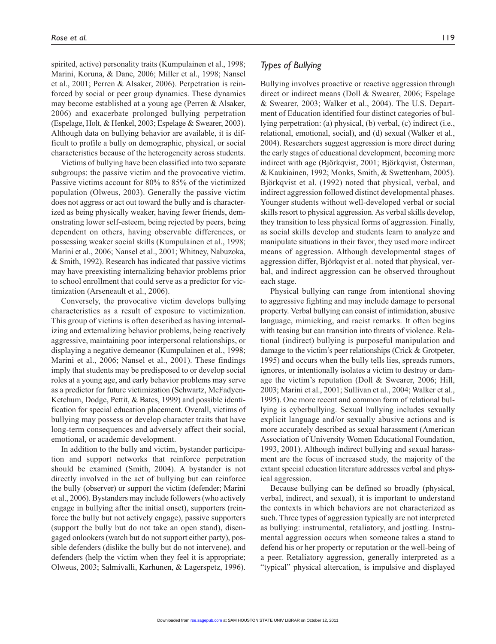spirited, active) personality traits (Kumpulainen et al., 1998; Marini, Koruna, & Dane, 2006; Miller et al., 1998; Nansel et al., 2001; Perren & Alsaker, 2006). Perpetration is reinforced by social or peer group dynamics. These dynamics may become established at a young age (Perren & Alsaker, 2006) and exacerbate prolonged bullying perpetration (Espelage, Holt, & Henkel, 2003; Espelage & Swearer, 2003). Although data on bullying behavior are available, it is difficult to profile a bully on demographic, physical, or social characteristics because of the heterogeneity across students.

Victims of bullying have been classified into two separate subgroups: the passive victim and the provocative victim. Passive victims account for 80% to 85% of the victimized population (Olweus, 2003). Generally the passive victim does not aggress or act out toward the bully and is characterized as being physically weaker, having fewer friends, demonstrating lower self-esteem, being rejected by peers, being dependent on others, having observable differences, or possessing weaker social skills (Kumpulainen et al., 1998; Marini et al., 2006; Nansel et al., 2001; Whitney, Nabuzoka, & Smith, 1992). Research has indicated that passive victims may have preexisting internalizing behavior problems prior to school enrollment that could serve as a predictor for victimization (Arseneault et al., 2006).

Conversely, the provocative victim develops bullying characteristics as a result of exposure to victimization. This group of victims is often described as having internalizing and externalizing behavior problems, being reactively aggressive, maintaining poor interpersonal relationships, or displaying a negative demeanor (Kumpulainen et al., 1998; Marini et al., 2006; Nansel et al., 2001). These findings imply that students may be predisposed to or develop social roles at a young age, and early behavior problems may serve as a predictor for future victimization (Schwartz, McFadyen-Ketchum, Dodge, Pettit, & Bates, 1999) and possible identification for special education placement. Overall, victims of bullying may possess or develop character traits that have long-term consequences and adversely affect their social, emotional, or academic development.

In addition to the bully and victim, bystander participation and support networks that reinforce perpetration should be examined (Smith, 2004). A bystander is not directly involved in the act of bullying but can reinforce the bully (observer) or support the victim (defender; Marini et al., 2006). Bystanders may include followers (who actively engage in bullying after the initial onset), supporters (reinforce the bully but not actively engage), passive supporters (support the bully but do not take an open stand), disengaged onlookers (watch but do not support either party), possible defenders (dislike the bully but do not intervene), and defenders (help the victim when they feel it is appropriate; Olweus, 2003; Salmivalli, Karhunen, & Lagerspetz, 1996).

## *Types of Bullying*

Bullying involves proactive or reactive aggression through direct or indirect means (Doll & Swearer, 2006; Espelage & Swearer, 2003; Walker et al., 2004). The U.S. Department of Education identified four distinct categories of bullying perpetration: (a) physical, (b) verbal, (c) indirect (i.e., relational, emotional, social), and (d) sexual (Walker et al., 2004). Researchers suggest aggression is more direct during the early stages of educational development, becoming more indirect with age (Björkqvist, 2001; Björkqvist, Österman, & Kaukiainen, 1992; Monks, Smith, & Swettenham, 2005). Björkqvist et al. (1992) noted that physical, verbal, and indirect aggression followed distinct developmental phases. Younger students without well-developed verbal or social skills resort to physical aggression. As verbal skills develop, they transition to less physical forms of aggression. Finally, as social skills develop and students learn to analyze and manipulate situations in their favor, they used more indirect means of aggression. Although developmental stages of aggression differ, Björkqvist et al. noted that physical, verbal, and indirect aggression can be observed throughout each stage.

Physical bullying can range from intentional shoving to aggressive fighting and may include damage to personal property. Verbal bullying can consist of intimidation, abusive language, mimicking, and racist remarks. It often begins with teasing but can transition into threats of violence. Relational (indirect) bullying is purposeful manipulation and damage to the victim's peer relationships (Crick & Grotpeter, 1995) and occurs when the bully tells lies, spreads rumors, ignores, or intentionally isolates a victim to destroy or damage the victim's reputation (Doll & Swearer, 2006; Hill, 2003; Marini et al., 2001; Sullivan et al., 2004; Walker et al., 1995). One more recent and common form of relational bullying is cyberbullying. Sexual bullying includes sexually explicit language and/or sexually abusive actions and is more accurately described as sexual harassment (American Association of University Women Educational Foundation, 1993, 2001). Although indirect bullying and sexual harassment are the focus of increased study, the majority of the extant special education literature addresses verbal and physical aggression.

Because bullying can be defined so broadly (physical, verbal, indirect, and sexual), it is important to understand the contexts in which behaviors are not characterized as such. Three types of aggression typically are not interpreted as bullying: instrumental, retaliatory, and jostling. Instrumental aggression occurs when someone takes a stand to defend his or her property or reputation or the well-being of a peer. Retaliatory aggression, generally interpreted as a "typical" physical altercation, is impulsive and displayed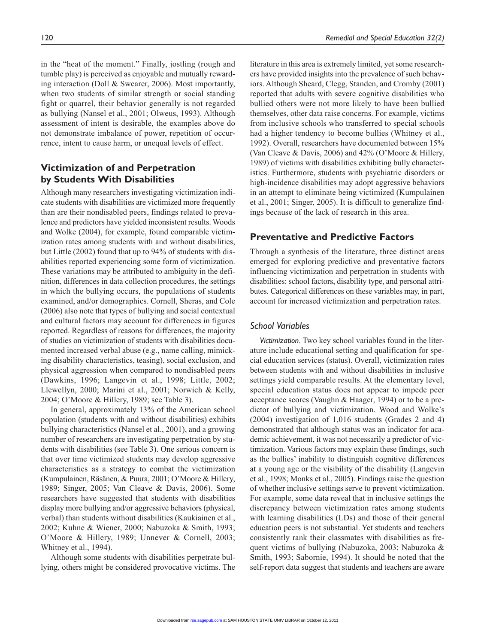in the "heat of the moment." Finally, jostling (rough and tumble play) is perceived as enjoyable and mutually rewarding interaction (Doll & Swearer, 2006). Most importantly, when two students of similar strength or social standing fight or quarrel, their behavior generally is not regarded as bullying (Nansel et al., 2001; Olweus, 1993). Although assessment of intent is desirable, the examples above do not demonstrate imbalance of power, repetition of occurrence, intent to cause harm, or unequal levels of effect.

## **Victimization of and Perpetration by Students With Disabilities**

Although many researchers investigating victimization indicate students with disabilities are victimized more frequently than are their nondisabled peers, findings related to prevalence and predictors have yielded inconsistent results. Woods and Wolke (2004), for example, found comparable victimization rates among students with and without disabilities, but Little (2002) found that up to 94% of students with disabilities reported experiencing some form of victimization. These variations may be attributed to ambiguity in the definition, differences in data collection procedures, the settings in which the bullying occurs, the populations of students examined, and/or demographics. Cornell, Sheras, and Cole (2006) also note that types of bullying and social contextual and cultural factors may account for differences in figures reported. Regardless of reasons for differences, the majority of studies on victimization of students with disabilities documented increased verbal abuse (e.g., name calling, mimicking disability characteristics, teasing), social exclusion, and physical aggression when compared to nondisabled peers (Dawkins, 1996; Langevin et al., 1998; Little, 2002; Llewellyn, 2000; Marini et al., 2001; Norwich & Kelly, 2004; O'Moore & Hillery, 1989; see Table 3).

In general, approximately 13% of the American school population (students with and without disabilities) exhibits bullying characteristics (Nansel et al., 2001), and a growing number of researchers are investigating perpetration by students with disabilities (see Table 3). One serious concern is that over time victimized students may develop aggressive characteristics as a strategy to combat the victimization (Kumpulainen, Räsänen, & Puura, 2001; O'Moore & Hillery, 1989; Singer, 2005; Van Cleave & Davis, 2006). Some researchers have suggested that students with disabilities display more bullying and/or aggressive behaviors (physical, verbal) than students without disabilities (Kaukiainen et al., 2002; Kuhne & Wiener, 2000; Nabuzoka & Smith, 1993; O'Moore & Hillery, 1989; Unnever & Cornell, 2003; Whitney et al., 1994).

Although some students with disabilities perpetrate bullying, others might be considered provocative victims. The literature in this area is extremely limited, yet some researchers have provided insights into the prevalence of such behaviors. Although Sheard, Clegg, Standen, and Cromby (2001) reported that adults with severe cognitive disabilities who bullied others were not more likely to have been bullied themselves, other data raise concerns. For example, victims from inclusive schools who transferred to special schools had a higher tendency to become bullies (Whitney et al., 1992). Overall, researchers have documented between 15% (Van Cleave & Davis, 2006) and 42% (O'Moore & Hillery, 1989) of victims with disabilities exhibiting bully characteristics. Furthermore, students with psychiatric disorders or high-incidence disabilities may adopt aggressive behaviors in an attempt to eliminate being victimized (Kumpulainen et al., 2001; Singer, 2005). It is difficult to generalize findings because of the lack of research in this area.

## **Preventative and Predictive Factors**

Through a synthesis of the literature, three distinct areas emerged for exploring predictive and preventative factors influencing victimization and perpetration in students with disabilities: school factors, disability type, and personal attributes. Categorical differences on these variables may, in part, account for increased victimization and perpetration rates.

## *School Variables*

*Victimization*. Two key school variables found in the literature include educational setting and qualification for special education services (status). Overall, victimization rates between students with and without disabilities in inclusive settings yield comparable results. At the elementary level, special education status does not appear to impede peer acceptance scores (Vaughn & Haager, 1994) or to be a predictor of bullying and victimization. Wood and Wolke's (2004) investigation of 1,016 students (Grades 2 and 4) demonstrated that although status was an indicator for academic achievement, it was not necessarily a predictor of victimization. Various factors may explain these findings, such as the bullies' inability to distinguish cognitive differences at a young age or the visibility of the disability (Langevin et al., 1998; Monks et al., 2005). Findings raise the question of whether inclusive settings serve to prevent victimization. For example, some data reveal that in inclusive settings the discrepancy between victimization rates among students with learning disabilities (LDs) and those of their general education peers is not substantial. Yet students and teachers consistently rank their classmates with disabilities as frequent victims of bullying (Nabuzoka, 2003; Nabuzoka & Smith, 1993; Sabornie, 1994). It should be noted that the self-report data suggest that students and teachers are aware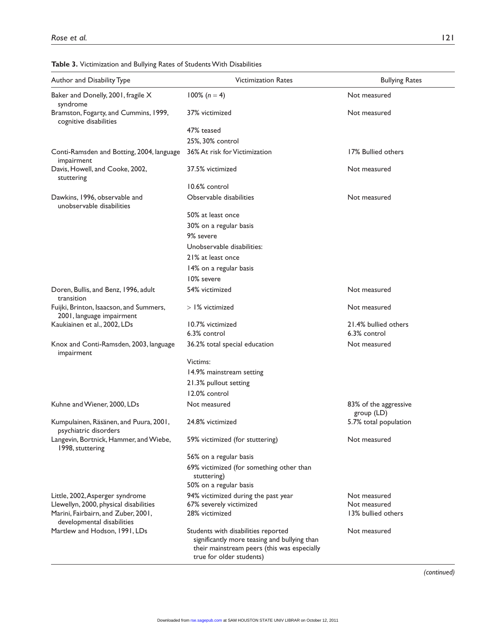**Table 3.** Victimization and Bullying Rates of Students With Disabilities

| Author and Disability Type                                                                                  | <b>Victimization Rates</b>                                                                                                                                     | <b>Bullying Rates</b>                |
|-------------------------------------------------------------------------------------------------------------|----------------------------------------------------------------------------------------------------------------------------------------------------------------|--------------------------------------|
| Baker and Donelly, 2001, fragile X<br>syndrome                                                              | $100\% (n = 4)$                                                                                                                                                | Not measured                         |
| Bramston, Fogarty, and Cummins, 1999,<br>cognitive disabilities                                             | 37% victimized                                                                                                                                                 | Not measured                         |
|                                                                                                             | 47% teased                                                                                                                                                     |                                      |
|                                                                                                             | 25%, 30% control                                                                                                                                               |                                      |
| Conti-Ramsden and Botting, 2004, language<br>impairment                                                     | 36% At risk for Victimization                                                                                                                                  | 17% Bullied others                   |
| Davis, Howell, and Cooke, 2002,<br>stuttering                                                               | 37.5% victimized                                                                                                                                               | Not measured                         |
|                                                                                                             | 10.6% control                                                                                                                                                  |                                      |
| Dawkins, 1996, observable and<br>unobservable disabilities                                                  | Observable disabilities                                                                                                                                        | Not measured                         |
|                                                                                                             | 50% at least once                                                                                                                                              |                                      |
|                                                                                                             | 30% on a regular basis                                                                                                                                         |                                      |
|                                                                                                             | 9% severe                                                                                                                                                      |                                      |
|                                                                                                             | Unobservable disabilities:                                                                                                                                     |                                      |
|                                                                                                             | 21% at least once                                                                                                                                              |                                      |
|                                                                                                             | 14% on a regular basis                                                                                                                                         |                                      |
|                                                                                                             | 10% severe                                                                                                                                                     |                                      |
| Doren, Bullis, and Benz, 1996, adult<br>transition                                                          | 54% victimized                                                                                                                                                 | Not measured                         |
| Fuijki, Brinton, Isaacson, and Summers,<br>2001, language impairment                                        | > 1% victimized                                                                                                                                                | Not measured                         |
| Kaukiainen et al., 2002, LDs                                                                                | 10.7% victimized<br>6.3% control                                                                                                                               | 21.4% bullied others<br>6.3% control |
| Knox and Conti-Ramsden, 2003, language<br>impairment                                                        | 36.2% total special education                                                                                                                                  | Not measured                         |
|                                                                                                             | Victims:                                                                                                                                                       |                                      |
|                                                                                                             | 14.9% mainstream setting                                                                                                                                       |                                      |
|                                                                                                             | 21.3% pullout setting                                                                                                                                          |                                      |
|                                                                                                             | 12.0% control                                                                                                                                                  |                                      |
| Kuhne and Wiener, 2000, LDs                                                                                 | Not measured                                                                                                                                                   | 83% of the aggressive<br>group (LD)  |
| Kumpulainen, Räsänen, and Puura, 2001,<br>psychiatric disorders                                             | 24.8% victimized                                                                                                                                               | 5.7% total population                |
| Langevin, Bortnick, Hammer, and Wiebe,<br>1998, stuttering                                                  | 59% victimized (for stuttering)                                                                                                                                | Not measured                         |
|                                                                                                             | 56% on a regular basis                                                                                                                                         |                                      |
|                                                                                                             | 69% victimized (for something other than<br>stuttering)                                                                                                        |                                      |
|                                                                                                             | 50% on a regular basis                                                                                                                                         |                                      |
| Little, 2002, Asperger syndrome                                                                             | 94% victimized during the past year                                                                                                                            | Not measured                         |
| Llewellyn, 2000, physical disabilities<br>Marini, Fairbairn, and Zuber, 2001,<br>developmental disabilities | 67% severely victimized<br>28% victimized                                                                                                                      | Not measured<br>13% bullied others   |
| Martlew and Hodson, 1991, LDs                                                                               | Students with disabilities reported<br>significantly more teasing and bullying than<br>their mainstream peers (this was especially<br>true for older students) | Not measured                         |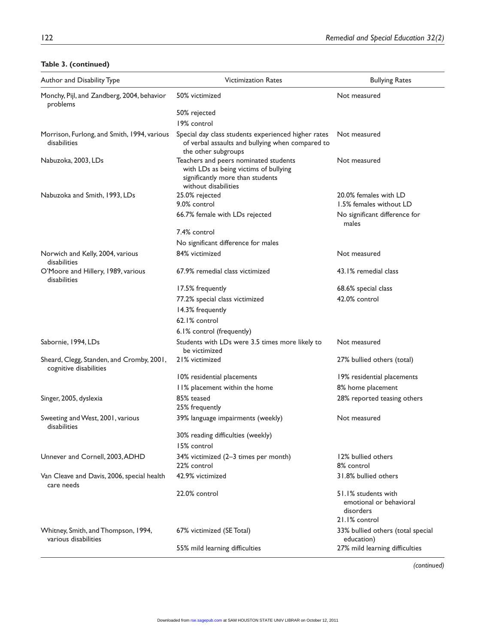| Author and Disability Type                                          | <b>Victimization Rates</b>                                                                                                                 | <b>Bullying Rates</b>                                                        |
|---------------------------------------------------------------------|--------------------------------------------------------------------------------------------------------------------------------------------|------------------------------------------------------------------------------|
| Monchy, Pijl, and Zandberg, 2004, behavior<br>problems              | 50% victimized                                                                                                                             | Not measured                                                                 |
|                                                                     | 50% rejected                                                                                                                               |                                                                              |
|                                                                     | 19% control                                                                                                                                |                                                                              |
| Morrison, Furlong, and Smith, 1994, various<br>disabilities         | Special day class students experienced higher rates<br>of verbal assaults and bullying when compared to<br>the other subgroups             | Not measured                                                                 |
| Nabuzoka, 2003, LDs                                                 | Teachers and peers nominated students<br>with LDs as being victims of bullying<br>significantly more than students<br>without disabilities | Not measured                                                                 |
| Nabuzoka and Smith, 1993, LDs                                       | 25.0% rejected                                                                                                                             | 20.0% females with LD                                                        |
|                                                                     | 9.0% control                                                                                                                               | 1.5% females without LD                                                      |
|                                                                     | 66.7% female with LDs rejected                                                                                                             | No significant difference for<br>males                                       |
|                                                                     | 7.4% control                                                                                                                               |                                                                              |
|                                                                     | No significant difference for males                                                                                                        |                                                                              |
| Norwich and Kelly, 2004, various<br>disabilities                    | 84% victimized                                                                                                                             | Not measured                                                                 |
| O'Moore and Hillery, 1989, various<br>disabilities                  | 67.9% remedial class victimized                                                                                                            | 43.1% remedial class                                                         |
|                                                                     | 17.5% frequently                                                                                                                           | 68.6% special class                                                          |
|                                                                     | 77.2% special class victimized                                                                                                             | 42.0% control                                                                |
|                                                                     | 14.3% frequently                                                                                                                           |                                                                              |
|                                                                     | 62.1% control                                                                                                                              |                                                                              |
|                                                                     | 6.1% control (frequently)                                                                                                                  |                                                                              |
| Sabornie, 1994, LDs                                                 | Students with LDs were 3.5 times more likely to<br>be victimized                                                                           | Not measured                                                                 |
| Sheard, Clegg, Standen, and Cromby, 2001,<br>cognitive disabilities | 21% victimized                                                                                                                             | 27% bullied others (total)                                                   |
|                                                                     | 10% residential placements                                                                                                                 | 19% residential placements                                                   |
|                                                                     | 11% placement within the home                                                                                                              | 8% home placement                                                            |
| Singer, 2005, dyslexia                                              | 85% teased<br>25% frequently                                                                                                               | 28% reported teasing others                                                  |
| Sweeting and West, 2001, various<br>disabilities                    | 39% language impairments (weekly)                                                                                                          | Not measured                                                                 |
|                                                                     | 30% reading difficulties (weekly)                                                                                                          |                                                                              |
|                                                                     | 15% control                                                                                                                                |                                                                              |
| Unnever and Cornell, 2003, ADHD                                     | 34% victimized (2-3 times per month)<br>22% control                                                                                        | 12% bullied others<br>8% control                                             |
| Van Cleave and Davis, 2006, special health<br>care needs            | 42.9% victimized                                                                                                                           | 31.8% bullied others                                                         |
|                                                                     | 22.0% control                                                                                                                              | 51.1% students with<br>emotional or behavioral<br>disorders<br>21.1% control |
| Whitney, Smith, and Thompson, 1994,                                 | 67% victimized (SE Total)                                                                                                                  | 33% bullied others (total special                                            |
| various disabilities                                                | 55% mild learning difficulties                                                                                                             | education)<br>27% mild learning difficulties                                 |

## **Table 3. (continued)**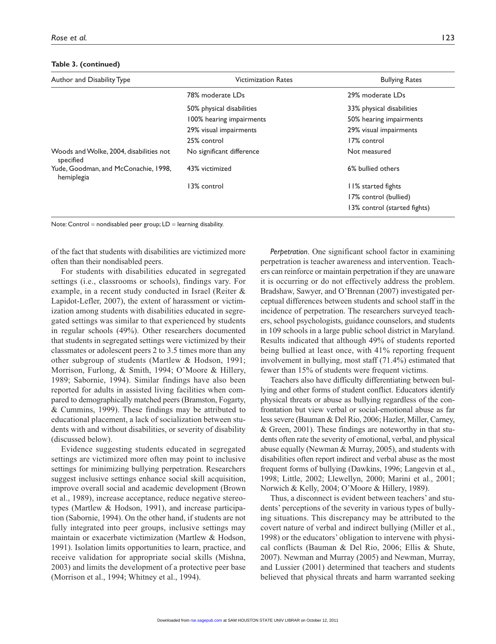| Table 3. (continued) |  |  |
|----------------------|--|--|

| Author and Disability Type                           | <b>Victimization Rates</b> | <b>Bullying Rates</b>        |
|------------------------------------------------------|----------------------------|------------------------------|
|                                                      | 78% moderate LDs           | 29% moderate LDs             |
|                                                      | 50% physical disabilities  | 33% physical disabilities    |
|                                                      | 100% hearing impairments   | 50% hearing impairments      |
|                                                      | 29% visual impairments     | 29% visual impairments       |
|                                                      | 25% control                | 17% control                  |
| Woods and Wolke, 2004, disabilities not<br>specified | No significant difference  | Not measured                 |
| Yude, Goodman, and McConachie, 1998,<br>hemiplegia   | 43% victimized             | 6% bullied others            |
|                                                      | 3% control                 | 11% started fights           |
|                                                      |                            | 17% control (bullied)        |
|                                                      |                            | 13% control (started fights) |

Note: Control = nondisabled peer group;  $LD =$  learning disability.

of the fact that students with disabilities are victimized more often than their nondisabled peers.

For students with disabilities educated in segregated settings (i.e., classrooms or schools), findings vary. For example, in a recent study conducted in Israel (Reiter & Lapidot-Lefler, 2007), the extent of harassment or victimization among students with disabilities educated in segregated settings was similar to that experienced by students in regular schools (49%). Other researchers documented that students in segregated settings were victimized by their classmates or adolescent peers 2 to 3.5 times more than any other subgroup of students (Martlew & Hodson, 1991; Morrison, Furlong, & Smith, 1994; O'Moore & Hillery, 1989; Sabornie, 1994). Similar findings have also been reported for adults in assisted living facilities when compared to demographically matched peers (Bramston, Fogarty, & Cummins, 1999). These findings may be attributed to educational placement, a lack of socialization between students with and without disabilities, or severity of disability (discussed below).

Evidence suggesting students educated in segregated settings are victimized more often may point to inclusive settings for minimizing bullying perpetration. Researchers suggest inclusive settings enhance social skill acquisition, improve overall social and academic development (Brown et al., 1989), increase acceptance, reduce negative stereotypes (Martlew & Hodson, 1991), and increase participation (Sabornie, 1994). On the other hand, if students are not fully integrated into peer groups, inclusive settings may maintain or exacerbate victimization (Martlew & Hodson, 1991). Isolation limits opportunities to learn, practice, and receive validation for appropriate social skills (Mishna, 2003) and limits the development of a protective peer base (Morrison et al., 1994; Whitney et al., 1994).

*Perpetration*. One significant school factor in examining perpetration is teacher awareness and intervention. Teachers can reinforce or maintain perpetration if they are unaware it is occurring or do not effectively address the problem. Bradshaw, Sawyer, and O'Brennan (2007) investigated perceptual differences between students and school staff in the incidence of perpetration. The researchers surveyed teachers, school psychologists, guidance counselors, and students in 109 schools in a large public school district in Maryland. Results indicated that although 49% of students reported being bullied at least once, with 41% reporting frequent involvement in bullying, most staff (71.4%) estimated that fewer than 15% of students were frequent victims.

Teachers also have difficulty differentiating between bullying and other forms of student conflict. Educators identify physical threats or abuse as bullying regardless of the confrontation but view verbal or social-emotional abuse as far less severe (Bauman & Del Rio, 2006; Hazler, Miller, Carney, & Green, 2001). These findings are noteworthy in that students often rate the severity of emotional, verbal, and physical abuse equally (Newman & Murray, 2005), and students with disabilities often report indirect and verbal abuse as the most frequent forms of bullying (Dawkins, 1996; Langevin et al., 1998; Little, 2002; Llewellyn, 2000; Marini et al., 2001; Norwich & Kelly, 2004; O'Moore & Hillery, 1989).

Thus, a disconnect is evident between teachers' and students' perceptions of the severity in various types of bullying situations. This discrepancy may be attributed to the covert nature of verbal and indirect bullying (Miller et al., 1998) or the educators' obligation to intervene with physical conflicts (Bauman & Del Rio, 2006; Ellis & Shute, 2007). Newman and Murray (2005) and Newman, Murray, and Lussier (2001) determined that teachers and students believed that physical threats and harm warranted seeking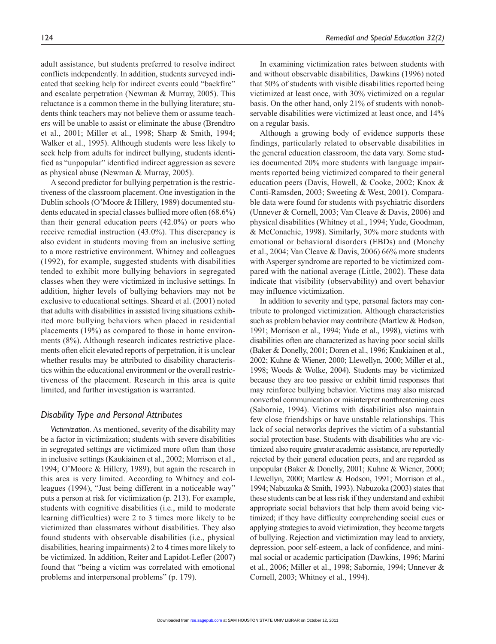adult assistance, but students preferred to resolve indirect conflicts independently. In addition, students surveyed indicated that seeking help for indirect events could "backfire" and escalate perpetration (Newman & Murray, 2005). This reluctance is a common theme in the bullying literature; students think teachers may not believe them or assume teachers will be unable to assist or eliminate the abuse (Brendtro et al., 2001; Miller et al., 1998; Sharp & Smith, 1994; Walker et al., 1995). Although students were less likely to seek help from adults for indirect bullying, students identified as "unpopular" identified indirect aggression as severe as physical abuse (Newman & Murray, 2005).

A second predictor for bullying perpetration is the restrictiveness of the classroom placement. One investigation in the Dublin schools (O'Moore & Hillery, 1989) documented students educated in special classes bullied more often (68.6%) than their general education peers (42.0%) or peers who receive remedial instruction (43.0%). This discrepancy is also evident in students moving from an inclusive setting to a more restrictive environment. Whitney and colleagues (1992), for example, suggested students with disabilities tended to exhibit more bullying behaviors in segregated classes when they were victimized in inclusive settings. In addition, higher levels of bullying behaviors may not be exclusive to educational settings. Sheard et al. (2001) noted that adults with disabilities in assisted living situations exhibited more bullying behaviors when placed in residential placements (19%) as compared to those in home environments (8%). Although research indicates restrictive placements often elicit elevated reports of perpetration, it is unclear whether results may be attributed to disability characteristics within the educational environment or the overall restrictiveness of the placement. Research in this area is quite limited, and further investigation is warranted.

## *Disability Type and Personal Attributes*

*Victimization*. As mentioned, severity of the disability may be a factor in victimization; students with severe disabilities in segregated settings are victimized more often than those in inclusive settings (Kaukiainen et al., 2002; Morrison et al., 1994; O'Moore & Hillery, 1989), but again the research in this area is very limited. According to Whitney and colleagues (1994), "Just being different in a noticeable way" puts a person at risk for victimization (p. 213). For example, students with cognitive disabilities (i.e., mild to moderate learning difficulties) were 2 to 3 times more likely to be victimized than classmates without disabilities. They also found students with observable disabilities (i.e., physical disabilities, hearing impairments) 2 to 4 times more likely to be victimized. In addition, Reiter and Lapidot-Lefler (2007) found that "being a victim was correlated with emotional problems and interpersonal problems" (p. 179).

In examining victimization rates between students with and without observable disabilities, Dawkins (1996) noted that 50% of students with visible disabilities reported being victimized at least once, with 30% victimized on a regular basis. On the other hand, only 21% of students with nonobservable disabilities were victimized at least once, and 14% on a regular basis.

Although a growing body of evidence supports these findings, particularly related to observable disabilities in the general education classroom, the data vary. Some studies documented 20% more students with language impairments reported being victimized compared to their general education peers (Davis, Howell, & Cooke, 2002; Knox & Conti-Ramsden, 2003; Sweeting & West, 2001). Comparable data were found for students with psychiatric disorders (Unnever & Cornell, 2003; Van Cleave & Davis, 2006) and physical disabilities (Whitney et al., 1994; Yude, Goodman, & McConachie, 1998). Similarly, 30% more students with emotional or behavioral disorders (EBDs) and (Monchy et al., 2004; Van Cleave & Davis, 2006) 66% more students with Asperger syndrome are reported to be victimized compared with the national average (Little, 2002). These data indicate that visibility (observability) and overt behavior may influence victimization.

In addition to severity and type, personal factors may contribute to prolonged victimization. Although characteristics such as problem behavior may contribute (Martlew & Hodson, 1991; Morrison et al., 1994; Yude et al., 1998), victims with disabilities often are characterized as having poor social skills (Baker & Donelly, 2001; Doren et al., 1996; Kaukiainen et al., 2002; Kuhne & Wiener, 2000; Llewellyn, 2000; Miller et al., 1998; Woods & Wolke, 2004). Students may be victimized because they are too passive or exhibit timid responses that may reinforce bullying behavior. Victims may also misread nonverbal communication or misinterpret nonthreatening cues (Sabornie, 1994). Victims with disabilities also maintain few close friendships or have unstable relationships. This lack of social networks deprives the victim of a substantial social protection base. Students with disabilities who are victimized also require greater academic assistance, are reportedly rejected by their general education peers, and are regarded as unpopular (Baker & Donelly, 2001; Kuhne & Wiener, 2000; Llewellyn, 2000; Martlew & Hodson, 1991; Morrison et al., 1994; Nabuzoka & Smith, 1993). Nabuzoka (2003) states that these students can be at less risk if they understand and exhibit appropriate social behaviors that help them avoid being victimized; if they have difficulty comprehending social cues or applying strategies to avoid victimization, they become targets of bullying. Rejection and victimization may lead to anxiety, depression, poor self-esteem, a lack of confidence, and minimal social or academic participation (Dawkins, 1996; Marini et al., 2006; Miller et al., 1998; Sabornie, 1994; Unnever & Cornell, 2003; Whitney et al., 1994).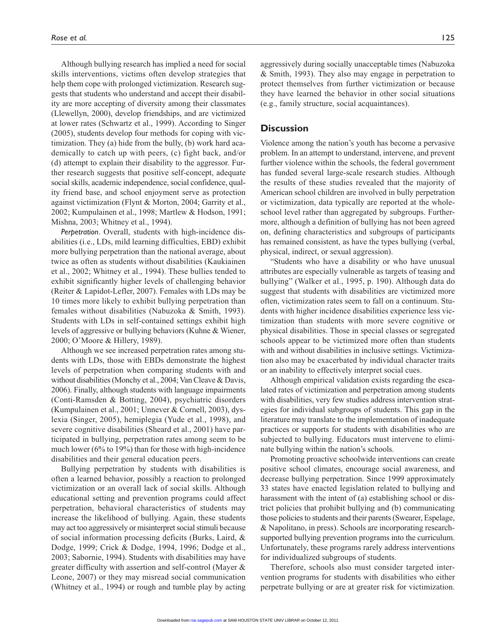Although bullying research has implied a need for social skills interventions, victims often develop strategies that help them cope with prolonged victimization. Research suggests that students who understand and accept their disability are more accepting of diversity among their classmates (Llewellyn, 2000), develop friendships, and are victimized at lower rates (Schwartz et al., 1999). According to Singer (2005), students develop four methods for coping with victimization. They (a) hide from the bully, (b) work hard academically to catch up with peers, (c) fight back, and/or (d) attempt to explain their disability to the aggressor. Further research suggests that positive self-concept, adequate social skills, academic independence, social confidence, quality friend base, and school enjoyment serve as protection against victimization (Flynt & Morton, 2004; Garrity et al., 2002; Kumpulainen et al., 1998; Martlew & Hodson, 1991; Mishna, 2003; Whitney et al., 1994).

*Perpetration*. Overall, students with high-incidence disabilities (i.e., LDs, mild learning difficulties, EBD) exhibit more bullying perpetration than the national average, about twice as often as students without disabilities (Kaukiainen et al., 2002; Whitney et al., 1994). These bullies tended to exhibit significantly higher levels of challenging behavior (Reiter & Lapidot-Lefler, 2007). Females with LDs may be 10 times more likely to exhibit bullying perpetration than females without disabilities (Nabuzoka & Smith, 1993). Students with LDs in self-contained settings exhibit high levels of aggressive or bullying behaviors (Kuhne & Wiener, 2000; O'Moore & Hillery, 1989).

Although we see increased perpetration rates among students with LDs, those with EBDs demonstrate the highest levels of perpetration when comparing students with and without disabilities (Monchy et al., 2004; Van Cleave & Davis, 2006). Finally, although students with language impairments (Conti-Ramsden & Botting, 2004), psychiatric disorders (Kumpulainen et al., 2001; Unnever & Cornell, 2003), dyslexia (Singer, 2005), hemiplegia (Yude et al., 1998), and severe cognitive disabilities (Sheard et al., 2001) have participated in bullying, perpetration rates among seem to be much lower (6% to 19%) than for those with high-incidence disabilities and their general education peers.

Bullying perpetration by students with disabilities is often a learned behavior, possibly a reaction to prolonged victimization or an overall lack of social skills. Although educational setting and prevention programs could affect perpetration, behavioral characteristics of students may increase the likelihood of bullying. Again, these students may act too aggressively or misinterpret social stimuli because of social information processing deficits (Burks, Laird, & Dodge, 1999; Crick & Dodge, 1994, 1996; Dodge et al., 2003; Sabornie, 1994). Students with disabilities may have greater difficulty with assertion and self-control (Mayer & Leone, 2007) or they may misread social communication (Whitney et al., 1994) or rough and tumble play by acting

aggressively during socially unacceptable times (Nabuzoka & Smith, 1993). They also may engage in perpetration to protect themselves from further victimization or because they have learned the behavior in other social situations (e.g., family structure, social acquaintances).

## **Discussion**

Violence among the nation's youth has become a pervasive problem. In an attempt to understand, intervene, and prevent further violence within the schools, the federal government has funded several large-scale research studies. Although the results of these studies revealed that the majority of American school children are involved in bully perpetration or victimization, data typically are reported at the wholeschool level rather than aggregated by subgroups. Furthermore, although a definition of bullying has not been agreed on, defining characteristics and subgroups of participants has remained consistent, as have the types bullying (verbal, physical, indirect, or sexual aggression).

"Students who have a disability or who have unusual attributes are especially vulnerable as targets of teasing and bullying" (Walker et al., 1995, p. 190). Although data do suggest that students with disabilities are victimized more often, victimization rates seem to fall on a continuum. Students with higher incidence disabilities experience less victimization than students with more severe cognitive or physical disabilities. Those in special classes or segregated schools appear to be victimized more often than students with and without disabilities in inclusive settings. Victimization also may be exacerbated by individual character traits or an inability to effectively interpret social cues.

Although empirical validation exists regarding the escalated rates of victimization and perpetration among students with disabilities, very few studies address intervention strategies for individual subgroups of students. This gap in the literature may translate to the implementation of inadequate practices or supports for students with disabilities who are subjected to bullying. Educators must intervene to eliminate bullying within the nation's schools.

Promoting proactive schoolwide interventions can create positive school climates, encourage social awareness, and decrease bullying perpetration. Since 1999 approximately 33 states have enacted legislation related to bullying and harassment with the intent of (a) establishing school or district policies that prohibit bullying and (b) communicating those policies to students and their parents (Swearer, Espelage, & Napolitano, in press). Schools are incorporating researchsupported bullying prevention programs into the curriculum. Unfortunately, these programs rarely address interventions for individualized subgroups of students.

Therefore, schools also must consider targeted intervention programs for students with disabilities who either perpetrate bullying or are at greater risk for victimization.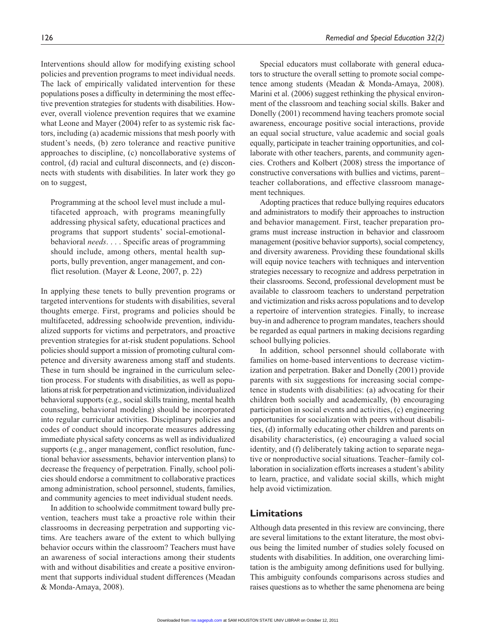Interventions should allow for modifying existing school policies and prevention programs to meet individual needs. The lack of empirically validated intervention for these populations poses a difficulty in determining the most effective prevention strategies for students with disabilities. However, overall violence prevention requires that we examine what Leone and Mayer (2004) refer to as systemic risk factors, including (a) academic missions that mesh poorly with student's needs, (b) zero tolerance and reactive punitive approaches to discipline, (c) noncollaborative systems of control, (d) racial and cultural disconnects, and (e) disconnects with students with disabilities. In later work they go on to suggest,

Programming at the school level must include a multifaceted approach, with programs meaningfully addressing physical safety, educational practices and programs that support students' social-emotionalbehavioral *needs*. . . . Specific areas of programming should include, among others, mental health supports, bully prevention, anger management, and conflict resolution. (Mayer & Leone, 2007, p. 22)

In applying these tenets to bully prevention programs or targeted interventions for students with disabilities, several thoughts emerge. First, programs and policies should be multifaceted, addressing schoolwide prevention, individualized supports for victims and perpetrators, and proactive prevention strategies for at-risk student populations. School policies should support a mission of promoting cultural competence and diversity awareness among staff and students. These in turn should be ingrained in the curriculum selection process. For students with disabilities, as well as populations at risk for perpetration and victimization, individualized behavioral supports (e.g., social skills training, mental health counseling, behavioral modeling) should be incorporated into regular curricular activities. Disciplinary policies and codes of conduct should incorporate measures addressing immediate physical safety concerns as well as individualized supports (e.g., anger management, conflict resolution, functional behavior assessments, behavior intervention plans) to decrease the frequency of perpetration. Finally, school policies should endorse a commitment to collaborative practices among administration, school personnel, students, families, and community agencies to meet individual student needs.

In addition to schoolwide commitment toward bully prevention, teachers must take a proactive role within their classrooms in decreasing perpetration and supporting victims. Are teachers aware of the extent to which bullying behavior occurs within the classroom? Teachers must have an awareness of social interactions among their students with and without disabilities and create a positive environment that supports individual student differences (Meadan & Monda-Amaya, 2008).

Special educators must collaborate with general educators to structure the overall setting to promote social competence among students (Meadan & Monda-Amaya, 2008). Marini et al. (2006) suggest rethinking the physical environment of the classroom and teaching social skills. Baker and Donelly (2001) recommend having teachers promote social awareness, encourage positive social interactions, provide an equal social structure, value academic and social goals equally, participate in teacher training opportunities, and collaborate with other teachers, parents, and community agencies. Crothers and Kolbert (2008) stress the importance of constructive conversations with bullies and victims, parent– teacher collaborations, and effective classroom management techniques.

Adopting practices that reduce bullying requires educators and administrators to modify their approaches to instruction and behavior management. First, teacher preparation programs must increase instruction in behavior and classroom management (positive behavior supports), social competency, and diversity awareness. Providing these foundational skills will equip novice teachers with techniques and intervention strategies necessary to recognize and address perpetration in their classrooms. Second, professional development must be available to classroom teachers to understand perpetration and victimization and risks across populations and to develop a repertoire of intervention strategies. Finally, to increase buy-in and adherence to program mandates, teachers should be regarded as equal partners in making decisions regarding school bullying policies.

In addition, school personnel should collaborate with families on home-based interventions to decrease victimization and perpetration. Baker and Donelly (2001) provide parents with six suggestions for increasing social competence in students with disabilities: (a) advocating for their children both socially and academically, (b) encouraging participation in social events and activities, (c) engineering opportunities for socialization with peers without disabilities, (d) informally educating other children and parents on disability characteristics, (e) encouraging a valued social identity, and (f) deliberately taking action to separate negative or nonproductive social situations. Teacher–family collaboration in socialization efforts increases a student's ability to learn, practice, and validate social skills, which might help avoid victimization.

## **Limitations**

Although data presented in this review are convincing, there are several limitations to the extant literature, the most obvious being the limited number of studies solely focused on students with disabilities. In addition, one overarching limitation is the ambiguity among definitions used for bullying. This ambiguity confounds comparisons across studies and raises questions as to whether the same phenomena are being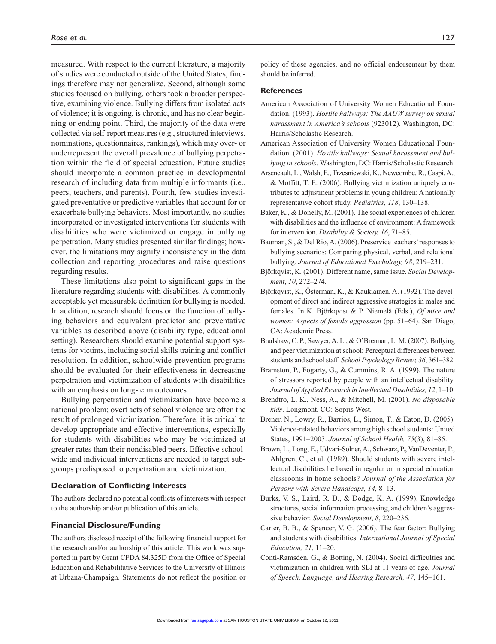measured. With respect to the current literature, a majority of studies were conducted outside of the United States; findings therefore may not generalize. Second, although some studies focused on bullying, others took a broader perspective, examining violence. Bullying differs from isolated acts of violence; it is ongoing, is chronic, and has no clear beginning or ending point. Third, the majority of the data were collected via self-report measures (e.g., structured interviews, nominations, questionnaires, rankings), which may over- or underrepresent the overall prevalence of bullying perpetration within the field of special education. Future studies should incorporate a common practice in developmental research of including data from multiple informants (i.e., peers, teachers, and parents). Fourth, few studies investigated preventative or predictive variables that account for or exacerbate bullying behaviors. Most importantly, no studies incorporated or investigated interventions for students with disabilities who were victimized or engage in bullying perpetration. Many studies presented similar findings; however, the limitations may signify inconsistency in the data collection and reporting procedures and raise questions regarding results.

These limitations also point to significant gaps in the literature regarding students with disabilities. A commonly acceptable yet measurable definition for bullying is needed. In addition, research should focus on the function of bullying behaviors and equivalent predictor and preventative variables as described above (disability type, educational setting). Researchers should examine potential support systems for victims, including social skills training and conflict resolution. In addition, schoolwide prevention programs should be evaluated for their effectiveness in decreasing perpetration and victimization of students with disabilities with an emphasis on long-term outcomes.

Bullying perpetration and victimization have become a national problem; overt acts of school violence are often the result of prolonged victimization. Therefore, it is critical to develop appropriate and effective interventions, especially for students with disabilities who may be victimized at greater rates than their nondisabled peers. Effective schoolwide and individual interventions are needed to target subgroups predisposed to perpetration and victimization.

#### **Declaration of Conflicting Interests**

The authors declared no potential conflicts of interests with respect to the authorship and/or publication of this article.

#### **Financial Disclosure/Funding**

The authors disclosed receipt of the following financial support for the research and/or authorship of this article: This work was supported in part by Grant CFDA 84.325D from the Office of Special Education and Rehabilitative Services to the University of Illinois at Urbana-Champaign. Statements do not reflect the position or

policy of these agencies, and no official endorsement by them should be inferred.

#### **References**

- American Association of University Women Educational Foundation. (1993). *Hostile hallways: The AAUW survey on sexual harassment in America's schools* (923012). Washington, DC: Harris/Scholastic Research.
- American Association of University Women Educational Foundation. (2001). *Hostile hallways: Sexual harassment and bullying in schools*. Washington, DC: Harris/Scholastic Research.
- Arseneault, L., Walsh, E., Trzesniewski, K., Newcombe, R., Caspi, A., & Moffitt, T. E. (2006). Bullying victimization uniquely contributes to adjustment problems in young children: A nationally representative cohort study. *Pediatrics, 118*, 130–138.
- Baker, K., & Donelly, M. (2001). The social experiences of children with disabilities and the influence of environment: A framework for intervention. *Disability & Society, 16*, 71–85.
- Bauman, S., & Del Rio, A. (2006). Preservice teachers' responses to bullying scenarios: Comparing physical, verbal, and relational bullying. *Journal of Educational Psychology, 98*, 219–231.
- Björkqvist, K. (2001). Different name, same issue. *Social Development*, *10*, 272–274.
- Björkqvist, K., Österman, K., & Kaukiainen, A. (1992). The development of direct and indirect aggressive strategies in males and females. In K. Björkqvist & P. Niemelä (Eds.), *Of mice and women: Aspects of female aggression* (pp. 51–64). San Diego, CA: Academic Press.
- Bradshaw, C. P., Sawyer, A. L., & O'Brennan, L. M. (2007). Bullying and peer victimization at school: Perceptual differences between students and school staff. *School Psychology Review, 36*, 361–382.
- Bramston, P., Fogarty, G., & Cummins, R. A. (1999). The nature of stressors reported by people with an intellectual disability. *Journal of Applied Research in Intellectual Disabilities, 12*, 1–10.
- Brendtro, L. K., Ness, A., & Mitchell, M. (2001). *No disposable kids*. Longmont, CO: Sopris West.
- Brener, N., Lowry, R., Barrios, L., Simon, T., & Eaton, D. (2005). Violence-related behaviors among high school students: United States, 1991–2003. *Journal of School Health, 75*(3), 81–85.
- Brown, L., Long, E., Udvari-Solner, A., Schwarz, P., VanDeventer, P., Ahlgren, C., et al. (1989). Should students with severe intellectual disabilities be based in regular or in special education classrooms in home schools? *Journal of the Association for Persons with Severe Handicaps, 14,* 8–13.
- Burks, V. S., Laird, R. D., & Dodge, K. A. (1999). Knowledge structures, social information processing, and children's aggressive behavior. *Social Development*, *8*, 220–236.
- Carter, B. B., & Spencer, V. G. (2006). The fear factor: Bullying and students with disabilities. *International Journal of Special Education, 21*, 11–20.
- Conti-Ramsden, G., & Botting, N. (2004). Social difficulties and victimization in children with SLI at 11 years of age. *Journal of Speech, Language, and Hearing Research, 47*, 145–161.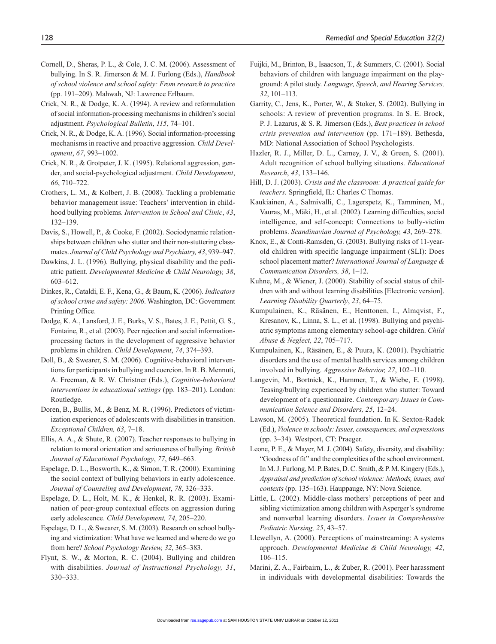- Cornell, D., Sheras, P. L., & Cole, J. C. M. (2006). Assessment of bullying. In S. R. Jimerson & M. J. Furlong (Eds.), *Handbook of school violence and school safety: From research to practice* (pp. 191–209). Mahwah, NJ: Lawrence Erlbaum.
- Crick, N. R., & Dodge, K. A. (1994). A review and reformulation of social information-processing mechanisms in children's social adjustment. *Psychological Bulletin*, *115*, 74–101.
- Crick, N. R., & Dodge, K. A. (1996). Social information-processing mechanisms in reactive and proactive aggression. *Child Development*, *67*, 993–1002.
- Crick, N. R., & Grotpeter, J. K. (1995). Relational aggression, gender, and social-psychological adjustment. *Child Development*, *66*, 710–722.
- Crothers, L. M., & Kolbert, J. B. (2008). Tackling a problematic behavior management issue: Teachers' intervention in childhood bullying problems. *Intervention in School and Clinic*, *43*, 132–139.
- Davis, S., Howell, P., & Cooke, F. (2002). Sociodynamic relationships between children who stutter and their non-stuttering classmates. *Journal of Child Psychology and Psychiatry, 43*, 939–947.
- Dawkins, J. L. (1996). Bullying, physical disability and the pediatric patient. *Developmental Medicine & Child Neurology, 38*, 603–612.
- Dinkes, R., Cataldi, E. F., Kena, G., & Baum, K. (2006). *Indicators of school crime and safety: 2006*. Washington, DC: Government Printing Office.
- Dodge, K. A., Lansford, J. E., Burks, V. S., Bates, J. E., Pettit, G. S., Fontaine, R., et al. (2003). Peer rejection and social informationprocessing factors in the development of aggressive behavior problems in children. *Child Development*, *74*, 374–393.
- Doll, B., & Swearer, S. M. (2006). Cognitive-behavioral interventions for participants in bullying and coercion. In R. B. Mennuti, A. Freeman, & R. W. Christner (Eds.), *Cognitive-behavioral interventions in educational settings* (pp. 183–201). London: Routledge.
- Doren, B., Bullis, M., & Benz, M. R. (1996). Predictors of victimization experiences of adolescents with disabilities in transition. *Exceptional Children, 63*, 7–18.
- Ellis, A. A., & Shute, R. (2007). Teacher responses to bullying in relation to moral orientation and seriousness of bullying. *British Journal of Educational Psychology*, *77*, 649–663.
- Espelage, D. L., Bosworth, K., & Simon, T. R. (2000). Examining the social context of bullying behaviors in early adolescence. *Journal of Counseling and Development*, *78*, 326–333.
- Espelage, D. L., Holt, M. K., & Henkel, R. R. (2003). Examination of peer-group contextual effects on aggression during early adolescence. *Child Development, 74*, 205–220.
- Espelage, D. L., & Swearer, S. M. (2003). Research on school bullying and victimization: What have we learned and where do we go from here? *School Psychology Review, 32*, 365–383.
- Flynt, S. W., & Morton, R. C. (2004). Bullying and children with disabilities. *Journal of Instructional Psychology, 31*, 330–333.
- Fuijki, M., Brinton, B., Isaacson, T., & Summers, C. (2001). Social behaviors of children with language impairment on the playground: A pilot study. *Language, Speech, and Hearing Services, 32*, 101–113.
- Garrity, C., Jens, K., Porter, W., & Stoker, S. (2002). Bullying in schools: A review of prevention programs. In S. E. Brock, P. J. Lazarus, & S. R. Jimerson (Eds.), *Best practices in school crisis prevention and intervention* (pp. 171–189). Bethesda, MD: National Association of School Psychologists.
- Hazler, R. J., Miller, D. L., Carney, J. V., & Green, S. (2001). Adult recognition of school bullying situations. *Educational Research*, *43*, 133–146.
- Hill, D. J. (2003). *Crisis and the classroom: A practical guide for teachers.* Springfield, IL: Charles C Thomas.
- Kaukiainen, A., Salmivalli, C., Lagerspetz, K., Tamminen, M., Vauras, M., Mäki, H., et al. (2002). Learning difficulties, social intelligence, and self-concept: Connections to bully-victim problems. *Scandinavian Journal of Psychology, 43*, 269–278.
- Knox, E., & Conti-Ramsden, G. (2003). Bullying risks of 11-yearold children with specific language impairment (SLI): Does school placement matter? *International Journal of Language & Communication Disorders, 38*, 1–12.
- Kuhne, M., & Wiener, J. (2000). Stability of social status of children with and without learning disabilities [Electronic version]. *Learning Disability Quarterly*, *23*, 64–75.
- Kumpulainen, K., Räsänen, E., Henttonen, I., Almqvist, F., Kresanov, K., Linna, S. L., et al. (1998). Bullying and psychiatric symptoms among elementary school-age children. *Child Abuse & Neglect, 22*, 705–717.
- Kumpulainen, K., Räsänen, E., & Puura, K. (2001). Psychiatric disorders and the use of mental health services among children involved in bullying. *Aggressive Behavior, 27*, 102–110.
- Langevin, M., Bortnick, K., Hammer, T., & Wiebe, E. (1998). Teasing/bullying experienced by children who stutter: Toward development of a questionnaire. *Contemporary Issues in Communication Science and Disorders, 25*, 12–24.
- Lawson, M. (2005). Theoretical foundation. In K. Sexton-Radek (Ed.), *Violence in schools: Issues, consequences, and expressions* (pp. 3–34). Westport, CT: Praeger.
- Leone, P. E., & Mayer, M. J. (2004). Safety, diversity, and disability: "Goodness of fit" and the complexities of the school environment. In M. J. Furlong, M. P. Bates, D. C. Smith, & P. M. Kingery (Eds.), *Appraisal and prediction of school violence: Methods, issues, and contexts* (pp. 135–163). Hauppauge, NY: Nova Science.
- Little, L. (2002). Middle-class mothers' perceptions of peer and sibling victimization among children with Asperger's syndrome and nonverbal learning disorders. *Issues in Comprehensive Pediatric Nursing, 25*, 43–57.
- Llewellyn, A. (2000). Perceptions of mainstreaming: A systems approach. *Developmental Medicine & Child Neurology, 42*, 106–115.
- Marini, Z. A., Fairbairn, L., & Zuber, R. (2001). Peer harassment in individuals with developmental disabilities: Towards the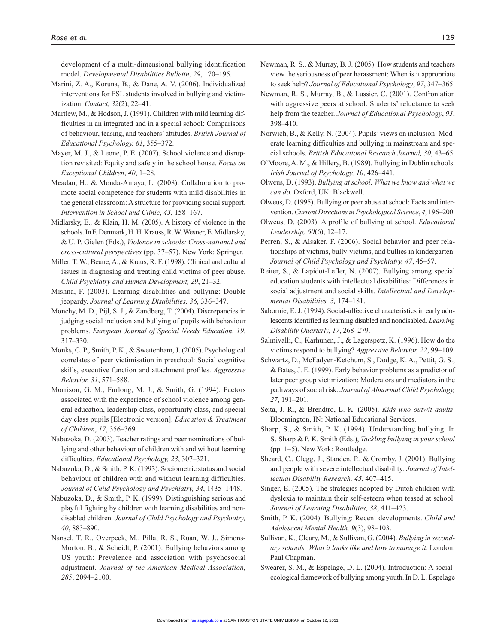development of a multi-dimensional bullying identification model. *Developmental Disabilities Bulletin, 29*, 170–195.

- Marini, Z. A., Koruna, B., & Dane, A. V. (2006). Individualized interventions for ESL students involved in bullying and victimization. *Contact, 32*(2), 22–41.
- Martlew, M., & Hodson, J. (1991). Children with mild learning difficulties in an integrated and in a special school: Comparisons of behaviour, teasing, and teachers' attitudes. *British Journal of Educational Psychology, 61*, 355–372.
- Mayer, M. J., & Leone, P. E. (2007). School violence and disruption revisited: Equity and safety in the school house. *Focus on Exceptional Children*, *40*, 1–28.
- Meadan, H., & Monda-Amaya, L. (2008). Collaboration to promote social competence for students with mild disabilities in the general classroom: A structure for providing social support. *Intervention in School and Clinic*, *43*, 158–167.
- Midlarsky, E., & Klain, H. M. (2005). A history of violence in the schools. In F. Denmark, H. H. Krauss, R. W. Wesner, E. Midlarsky, & U. P. Gielen (Eds.), *Violence in schools: Cross-national and cross-cultural perspectives* (pp. 37–57). New York: Springer.
- Miller, T. W., Beane, A., & Kraus, R. F. (1998). Clinical and cultural issues in diagnosing and treating child victims of peer abuse. *Child Psychiatry and Human Development, 29*, 21–32.

Mishna, F. (2003). Learning disabilities and bullying: Double jeopardy. *Journal of Learning Disabilities, 36*, 336–347.

- Monchy, M. D., Pijl, S. J., & Zandberg, T. (2004). Discrepancies in judging social inclusion and bullying of pupils with behaviour problems. *European Journal of Special Needs Education, 19*, 317–330.
- Monks, C. P., Smith, P. K., & Swettenham, J. (2005). Psychological correlates of peer victimisation in preschool: Social cognitive skills, executive function and attachment profiles. *Aggressive Behavior, 31*, 571–588.
- Morrison, G. M., Furlong, M. J., & Smith, G. (1994). Factors associated with the experience of school violence among general education, leadership class, opportunity class, and special day class pupils [Electronic version]. *Education & Treatment of Children*, *17*, 356–369.
- Nabuzoka, D. (2003). Teacher ratings and peer nominations of bullying and other behaviour of children with and without learning difficulties. *Educational Psychology, 23*, 307–321.
- Nabuzoka, D., & Smith, P. K. (1993). Sociometric status and social behaviour of children with and without learning difficulties. *Journal of Child Psychology and Psychiatry, 34*, 1435–1448.
- Nabuzoka, D., & Smith, P. K. (1999). Distinguishing serious and playful fighting by children with learning disabilities and nondisabled children. *Journal of Child Psychology and Psychiatry, 40*, 883–890.
- Nansel, T. R., Overpeck, M., Pilla, R. S., Ruan, W. J., Simons-Morton, B., & Scheidt, P. (2001). Bullying behaviors among US youth: Prevalence and association with psychosocial adjustment. *Journal of the American Medical Association, 285*, 2094–2100.
- Newman, R. S., & Murray, B. J. (2005). How students and teachers view the seriousness of peer harassment: When is it appropriate to seek help? *Journal of Educational Psychology*, *97*, 347–365.
- Newman, R. S., Murray, B., & Lussier, C. (2001). Confrontation with aggressive peers at school: Students' reluctance to seek help from the teacher. *Journal of Educational Psychology*, *93*, 398–410.
- Norwich, B., & Kelly, N. (2004). Pupils' views on inclusion: Moderate learning difficulties and bullying in mainstream and special schools. *British Educational Research Journal, 30*, 43–65.
- O'Moore, A. M., & Hillery, B. (1989). Bullying in Dublin schools. *Irish Journal of Psychology, 10*, 426–441.
- Olweus, D. (1993). *Bullying at school: What we know and what we can do*. Oxford, UK: Blackwell.
- Olweus, D. (1995). Bullying or peer abuse at school: Facts and intervention. *Current Directions in Psychological Science*, *4*, 196–200.
- Olweus, D. (2003). A profile of bullying at school. *Educational Leadership, 60*(6), 12–17.
- Perren, S., & Alsaker, F. (2006). Social behavior and peer relationships of victims, bully-victims, and bullies in kindergarten. *Journal of Child Psychology and Psychiatry, 47*, 45–57.
- Reiter, S., & Lapidot-Lefler, N. (2007). Bullying among special education students with intellectual disabilities: Differences in social adjustment and social skills. *Intellectual and Developmental Disabilities, 3,* 174–181.
- Sabornie, E. J. (1994). Social-affective characteristics in early adolescents identified as learning disabled and nondisabled. *Learning Disability Quarterly, 17*, 268–279.
- Salmivalli, C., Karhunen, J., & Lagerspetz, K. (1996). How do the victims respond to bullying? *Aggressive Behavior, 22*, 99–109.
- Schwartz, D., McFadyen-Ketchum, S., Dodge, K. A., Pettit, G. S., & Bates, J. E. (1999). Early behavior problems as a predictor of later peer group victimization: Moderators and mediators in the pathways of social risk. *Journal of Abnormal Child Psychology, 27*, 191–201.
- Seita, J. R., & Brendtro, L. K. (2005). *Kids who outwit adults*. Bloomington, IN: National Educational Services.
- Sharp, S., & Smith, P. K. (1994). Understanding bullying. In S. Sharp & P. K. Smith (Eds.), *Tackling bullying in your school* (pp. 1–5). New York: Routledge.
- Sheard, C., Clegg, J., Standen, P., & Cromby, J. (2001). Bullying and people with severe intellectual disability. *Journal of Intellectual Disability Research, 45*, 407–415.
- Singer, E. (2005). The strategies adopted by Dutch children with dyslexia to maintain their self-esteem when teased at school. *Journal of Learning Disabilities, 38*, 411–423.
- Smith, P. K. (2004). Bullying: Recent developments. *Child and Adolescent Mental Health, 9*(3), 98–103.
- Sullivan, K., Cleary, M., & Sullivan, G. (2004). *Bullying in secondary schools: What it looks like and how to manage it*. London: Paul Chapman.
- Swearer, S. M., & Espelage, D. L. (2004). Introduction: A socialecological framework of bullying among youth. In D. L. Espelage